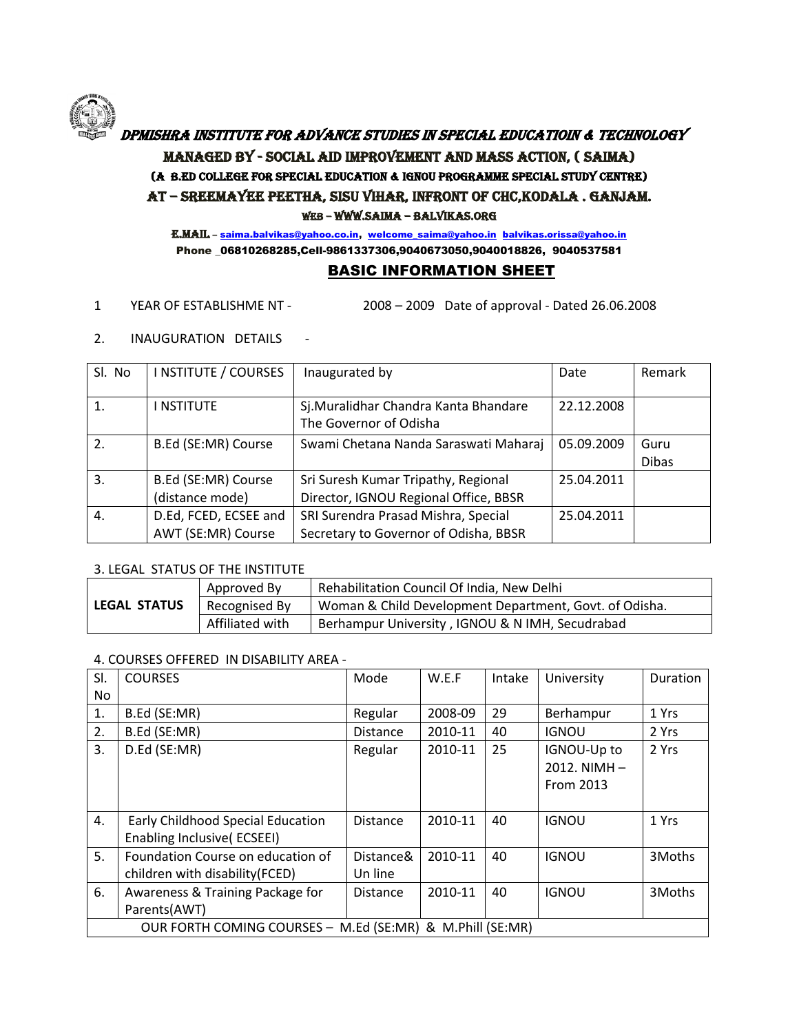# DPMISHRA INSTITUTE FOR ADVANCE STUDIES IN SPECIAL EDUCATIOIN & TECHNOLOGY Managed By - Social Aid Improvement And Mass Action, ( SAIMA) (A B.Ed College For Special Education & IGNOU Programme Special Study Centre) At – Sreemayee Peetha, Sisu Vihar, Infront of CHC,Kodala . Ganjam. Web – www.saima – balvikas.org

E.mail – [saima.balvikas@yahoo.co.in,](mailto:saima.balvikas@yahoo.co.in) [welcome\\_saima@yahoo.in](mailto:welcome_saima@yahoo.in) [balvikas.orissa@yahoo.in](mailto:balvikas.orissa@yahoo.in) Phone \_06810268285,Cell-9861337306,9040673050,9040018826, 9040537581

# BASIC INFORMATION SHEET

- 1 YEAR OF ESTABLISHME NT 2008 2009 Date of approval Dated 26.06.2008
- 2. INAUGURATION DETAILS -

| SI. No           | I NSTITUTE / COURSES  | Inaugurated by                        | Date       | Remark       |
|------------------|-----------------------|---------------------------------------|------------|--------------|
|                  |                       |                                       |            |              |
| 1.               | I NSTITUTE            | Sj. Muralidhar Chandra Kanta Bhandare | 22.12.2008 |              |
|                  |                       | The Governor of Odisha                |            |              |
| 2.               | B.Ed (SE:MR) Course   | Swami Chetana Nanda Saraswati Maharaj | 05.09.2009 | Guru         |
|                  |                       |                                       |            | <b>Dibas</b> |
| $\overline{3}$ . | B.Ed (SE:MR) Course   | Sri Suresh Kumar Tripathy, Regional   | 25.04.2011 |              |
|                  | (distance mode)       | Director, IGNOU Regional Office, BBSR |            |              |
| 4.               | D.Ed, FCED, ECSEE and | SRI Surendra Prasad Mishra, Special   | 25.04.2011 |              |
|                  | AWT (SE:MR) Course    | Secretary to Governor of Odisha, BBSR |            |              |

## 3. LEGAL STATUS OF THE INSTITUTE

|                     | Approved By     | Rehabilitation Council Of India, New Delhi             |
|---------------------|-----------------|--------------------------------------------------------|
| <b>LEGAL STATUS</b> | Recognised By   | Woman & Child Development Department, Govt. of Odisha. |
|                     | Affiliated with | Berhampur University, IGNOU & N IMH, Secudrabad        |

## 4. COURSES OFFERED IN DISABILITY AREA -

| SI. | <b>COURSES</b>                                            | Mode            | W.E.F   | Intake | University       | Duration |
|-----|-----------------------------------------------------------|-----------------|---------|--------|------------------|----------|
| No  |                                                           |                 |         |        |                  |          |
| 1.  | B.Ed (SE:MR)                                              | Regular         | 2008-09 | 29     | Berhampur        | 1 Yrs    |
| 2.  | B.Ed (SE:MR)                                              | <b>Distance</b> | 2010-11 | 40     | <b>IGNOU</b>     | 2 Yrs    |
| 3.  | D.Ed (SE:MR)                                              | Regular         | 2010-11 | 25     | IGNOU-Up to      | 2 Yrs    |
|     |                                                           |                 |         |        | $2012.$ NIMH $-$ |          |
|     |                                                           |                 |         |        | From 2013        |          |
|     |                                                           |                 |         |        |                  |          |
| 4.  | Early Childhood Special Education                         | <b>Distance</b> | 2010-11 | 40     | <b>IGNOU</b>     | 1 Yrs    |
|     | Enabling Inclusive(ECSEEI)                                |                 |         |        |                  |          |
| 5.  | Foundation Course on education of                         | Distance&       | 2010-11 | 40     | <b>IGNOU</b>     | 3Moths   |
|     | children with disability (FCED)                           | Un line         |         |        |                  |          |
| 6.  | Awareness & Training Package for                          | <b>Distance</b> | 2010-11 | 40     | <b>IGNOU</b>     | 3Moths   |
|     | Parents(AWT)                                              |                 |         |        |                  |          |
|     | OUR FORTH COMING COURSES - M.Ed (SE:MR) & M.Phill (SE:MR) |                 |         |        |                  |          |

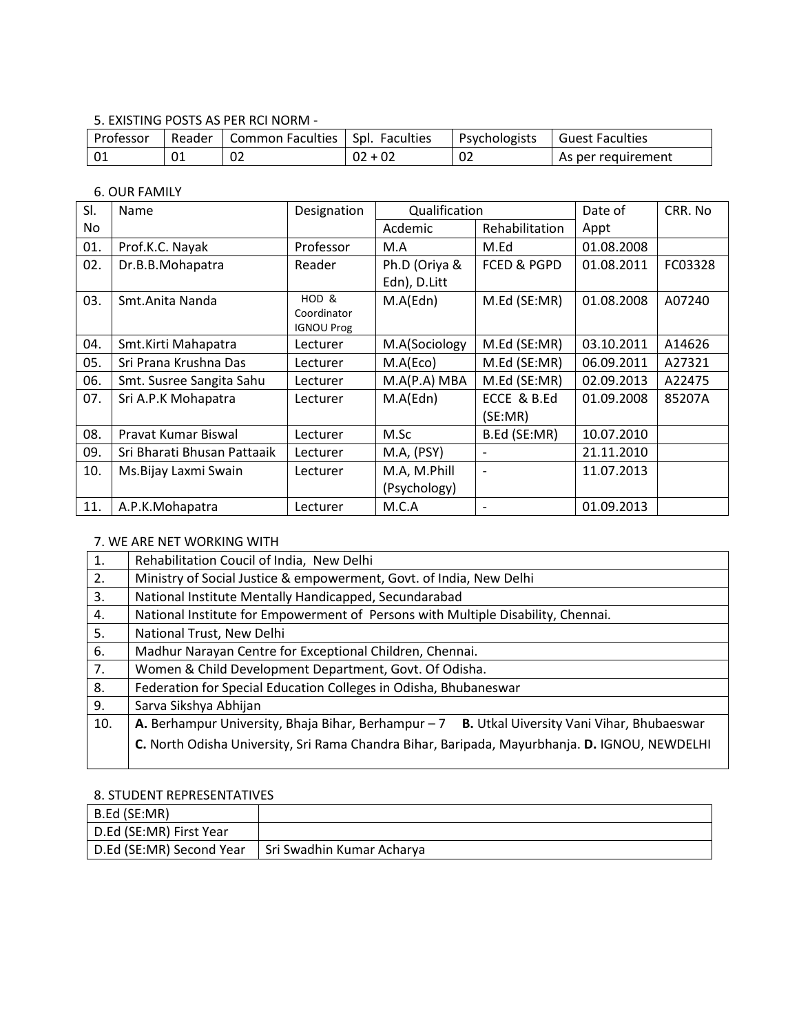# 5. EXISTING POSTS AS PER RCI NORM -

| Professor | Reader | Common Faculties   Spl. Faculties |            | Psychologists | <sup>1</sup> Guest Faculties |
|-----------|--------|-----------------------------------|------------|---------------|------------------------------|
|           | 01     | 02                                | -02<br>UZ. | 02            | As per requirement           |

# 6. OUR FAMILY

| SI. | Name                        | Designation                      |               | Qualification            |            | CRR. No |
|-----|-----------------------------|----------------------------------|---------------|--------------------------|------------|---------|
| No. |                             |                                  | Acdemic       | Rehabilitation           | Appt       |         |
| 01. | Prof.K.C. Nayak             | Professor                        | M.A           | M.Ed                     | 01.08.2008 |         |
| 02. | Dr.B.B.Mohapatra            | Reader                           | Ph.D (Oriya & | <b>FCED &amp; PGPD</b>   | 01.08.2011 | FC03328 |
|     |                             |                                  | Edn), D.Litt  |                          |            |         |
| 03. | Smt. Anita Nanda            | HOD <sub>&amp;</sub>             | M.A(Edn)      | M.Ed (SE:MR)             | 01.08.2008 | A07240  |
|     |                             | Coordinator<br><b>IGNOU Prog</b> |               |                          |            |         |
| 04. | Smt.Kirti Mahapatra         | Lecturer                         | M.A(Sociology | M.Ed (SE:MR)             | 03.10.2011 | A14626  |
|     |                             |                                  |               | M.Ed (SE:MR)             |            |         |
| 05. | Sri Prana Krushna Das       | Lecturer                         | M.A(Eco)      |                          | 06.09.2011 | A27321  |
| 06. | Smt. Susree Sangita Sahu    | Lecturer                         | M.A(P.A) MBA  | M.Ed (SE:MR)             | 02.09.2013 | A22475  |
| 07. | Sri A.P.K Mohapatra         | Lecturer                         | M.A(Edn)      | ECCE & B.Ed              | 01.09.2008 | 85207A  |
|     |                             |                                  |               | (SE:MR)                  |            |         |
| 08. | Pravat Kumar Biswal         | Lecturer                         | M.Sc          | B.Ed (SE:MR)             | 10.07.2010 |         |
| 09. | Sri Bharati Bhusan Pattaaik | Lecturer                         | M.A, (PSY)    |                          | 21.11.2010 |         |
| 10. | Ms.Bijay Laxmi Swain        | Lecturer                         | M.A, M.Phill  |                          | 11.07.2013 |         |
|     |                             |                                  | (Psychology)  |                          |            |         |
| 11. | A.P.K.Mohapatra             | Lecturer                         | M.C.A         | $\overline{\phantom{a}}$ | 01.09.2013 |         |

# 7. WE ARE NET WORKING WITH

| 1.  | Rehabilitation Coucil of India, New Delhi                                                     |  |  |
|-----|-----------------------------------------------------------------------------------------------|--|--|
| 2.  | Ministry of Social Justice & empowerment, Govt. of India, New Delhi                           |  |  |
| 3.  | National Institute Mentally Handicapped, Secundarabad                                         |  |  |
| 4.  | National Institute for Empowerment of Persons with Multiple Disability, Chennai.              |  |  |
| 5.  | National Trust, New Delhi                                                                     |  |  |
| 6.  | Madhur Narayan Centre for Exceptional Children, Chennai.                                      |  |  |
| 7.  | Women & Child Development Department, Govt. Of Odisha.                                        |  |  |
| 8.  | Federation for Special Education Colleges in Odisha, Bhubaneswar                              |  |  |
| 9.  | Sarva Sikshya Abhijan                                                                         |  |  |
| 10. | A. Berhampur University, Bhaja Bihar, Berhampur - 7 B. Utkal Uiversity Vani Vihar, Bhubaeswar |  |  |
|     | C. North Odisha University, Sri Rama Chandra Bihar, Baripada, Mayurbhanja. D. IGNOU, NEWDELHI |  |  |

# 8. STUDENT REPRESENTATIVES

| $ $ B.Ed (SE:MR)         |                           |
|--------------------------|---------------------------|
| D.Ed (SE:MR) First Year  |                           |
| D.Ed (SE:MR) Second Year | Sri Swadhin Kumar Acharya |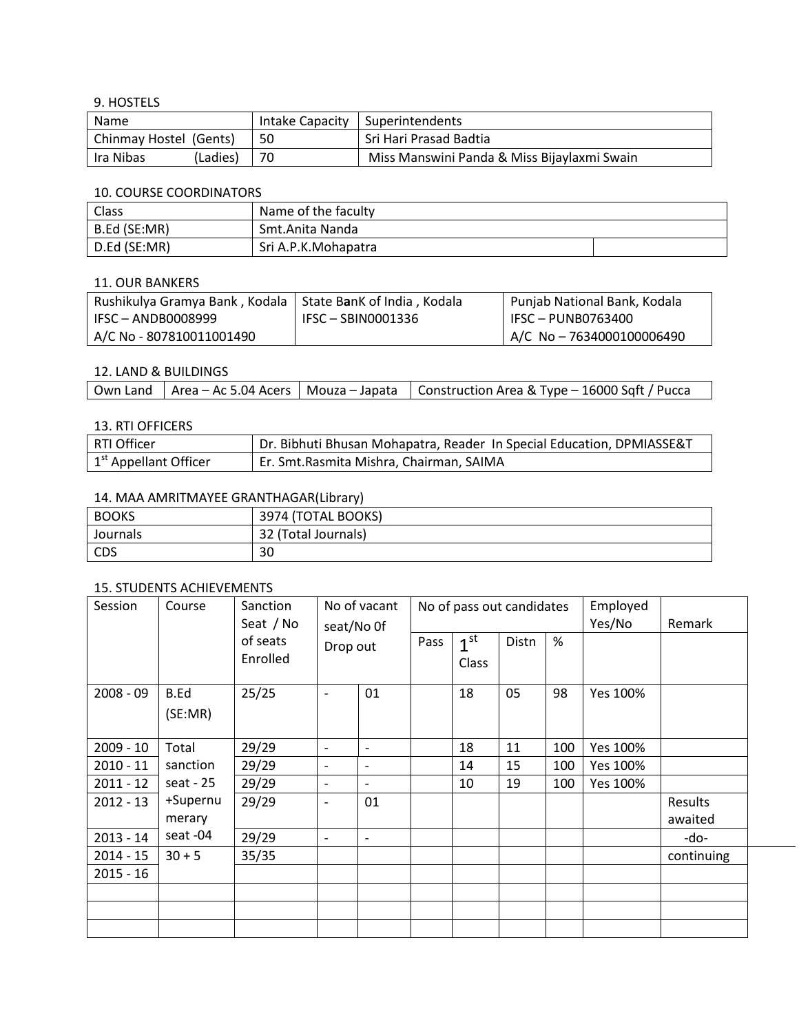9. HOSTELS

| Name                         |          |    | Intake Capacity   Superintendents           |
|------------------------------|----------|----|---------------------------------------------|
| Chinmay Hostel (Gents)<br>50 |          |    | Sri Hari Prasad Badtia                      |
| lra Nibas                    | (Ladies) | 70 | Miss Manswini Panda & Miss Bijaylaxmi Swain |

#### 10. COURSE COORDINATORS

| Class        | Name of the faculty |  |
|--------------|---------------------|--|
| B.Ed (SE:MR) | Smt.Anita Nanda     |  |
| D.Ed (SE:MR) | Sri A.P.K.Mohapatra |  |

#### 11. OUR BANKERS

| Rushikulya Gramya Bank, Kodala   State BanK of India, Kodala |                    | Punjab National Bank, Kodala |
|--------------------------------------------------------------|--------------------|------------------------------|
| $IFSC - ANDB0008999$                                         | IFSC – SBIN0001336 | IFSC - PUNB0763400           |
| A/C No - 807810011001490                                     |                    | A/C No - 7634000100006490    |

### 12. LAND & BUILDINGS

| Own Land   Area – Ac 5.04 Acers   Mouza – Japata   Construction Area & Type – 16000 Sqft / Pucca |  |
|--------------------------------------------------------------------------------------------------|--|
|--------------------------------------------------------------------------------------------------|--|

# 13. RTI OFFICERS

| RTI Officer             | Dr. Bibhuti Bhusan Mohapatra, Reader In Special Education, DPMIASSE&T |
|-------------------------|-----------------------------------------------------------------------|
| $1st$ Appellant Officer | Er. Smt. Rasmita Mishra, Chairman, SAIMA                              |

# 14. MAA AMRITMAYEE GRANTHAGAR(Library)

| <b>BOOKS</b> | 3974 (TOTAL BOOKS)  |
|--------------|---------------------|
| Journals     | 32 (Total Journals) |
| CDS          | 30                  |

# 15. STUDENTS ACHIEVEMENTS

| Session     | Course          | Sanction<br>Seat / No | No of vacant<br>seat/No Of<br>Drop out |                              |      |                          | No of pass out candidates |     | Employed<br>Yes/No | Remark     |
|-------------|-----------------|-----------------------|----------------------------------------|------------------------------|------|--------------------------|---------------------------|-----|--------------------|------------|
|             |                 | of seats<br>Enrolled  |                                        |                              | Pass | 1 <sup>st</sup><br>Class | Distn                     | %   |                    |            |
| $2008 - 09$ | B.Ed<br>(SE:MR) | 25/25                 | $\overline{\phantom{a}}$               | 01                           |      | 18                       | 05                        | 98  | Yes 100%           |            |
| $2009 - 10$ | Total           | 29/29                 | $\overline{\phantom{a}}$               | $\overline{a}$               |      | 18                       | 11                        | 100 | Yes 100%           |            |
| $2010 - 11$ | sanction        | 29/29                 | $\overline{\phantom{a}}$               | $\overline{\phantom{a}}$     |      | 14                       | 15                        | 100 | Yes 100%           |            |
| $2011 - 12$ | seat - $25$     | 29/29                 | $\overline{\phantom{a}}$               | $\overline{\phantom{0}}$     |      | 10                       | 19                        | 100 | Yes 100%           |            |
| $2012 - 13$ | +Supernu        | 29/29                 | $\overline{\phantom{a}}$               | 01                           |      |                          |                           |     |                    | Results    |
|             | merary          |                       |                                        |                              |      |                          |                           |     |                    | awaited    |
| $2013 - 14$ | seat -04        | 29/29                 | $\overline{\phantom{a}}$               | $\qquad \qquad \blacksquare$ |      |                          |                           |     |                    | -do-       |
| $2014 - 15$ | $30 + 5$        | 35/35                 |                                        |                              |      |                          |                           |     |                    | continuing |
| $2015 - 16$ |                 |                       |                                        |                              |      |                          |                           |     |                    |            |
|             |                 |                       |                                        |                              |      |                          |                           |     |                    |            |
|             |                 |                       |                                        |                              |      |                          |                           |     |                    |            |
|             |                 |                       |                                        |                              |      |                          |                           |     |                    |            |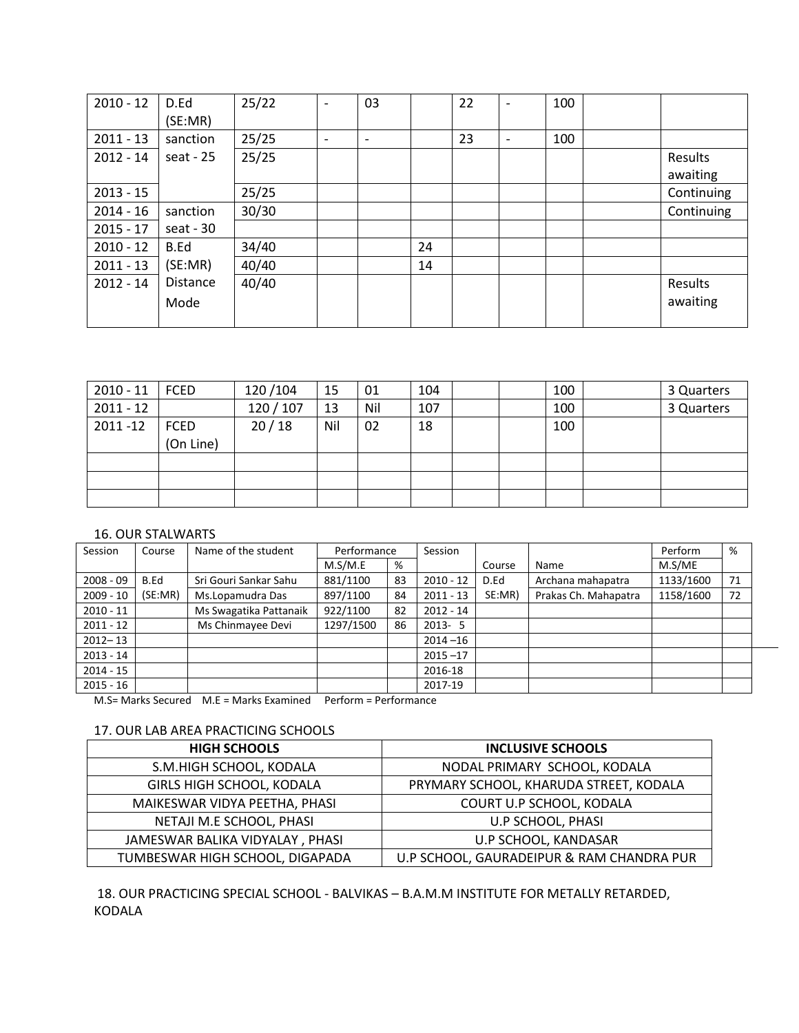| $2010 - 12$ | D.Ed            | 25/22 |   | 03                       |    | 22 |                          | 100 |                |
|-------------|-----------------|-------|---|--------------------------|----|----|--------------------------|-----|----------------|
|             | (SE:MR)         |       |   |                          |    |    |                          |     |                |
| $2011 - 13$ | sanction        | 25/25 | ۰ | $\overline{\phantom{0}}$ |    | 23 | $\overline{\phantom{0}}$ | 100 |                |
| $2012 - 14$ | seat - $25$     | 25/25 |   |                          |    |    |                          |     | Results        |
|             |                 |       |   |                          |    |    |                          |     | awaiting       |
| $2013 - 15$ |                 | 25/25 |   |                          |    |    |                          |     | Continuing     |
| $2014 - 16$ | sanction        | 30/30 |   |                          |    |    |                          |     | Continuing     |
| $2015 - 17$ | seat - $30$     |       |   |                          |    |    |                          |     |                |
| $2010 - 12$ | B.Ed            | 34/40 |   |                          | 24 |    |                          |     |                |
| $2011 - 13$ | (SE:MR)         | 40/40 |   |                          | 14 |    |                          |     |                |
| $2012 - 14$ | <b>Distance</b> | 40/40 |   |                          |    |    |                          |     | <b>Results</b> |
|             | Mode            |       |   |                          |    |    |                          |     | awaiting       |
|             |                 |       |   |                          |    |    |                          |     |                |

| $2010 - 11$ | FCED      | 120/104   | 15  | 01  | 104 |  | 100 | 3 Quarters |
|-------------|-----------|-----------|-----|-----|-----|--|-----|------------|
| $2011 - 12$ |           | 120 / 107 | 13  | Nil | 107 |  | 100 | 3 Quarters |
| $2011 - 12$ | FCED      | 20/18     | Nil | 02  | 18  |  | 100 |            |
|             | (On Line) |           |     |     |     |  |     |            |
|             |           |           |     |     |     |  |     |            |
|             |           |           |     |     |     |  |     |            |
|             |           |           |     |     |     |  |     |            |

### 16. OUR STALWARTS

| Session     | Course  | Name of the student    | Performance |    |             |        | Session              |           |    | Perform | % |  |
|-------------|---------|------------------------|-------------|----|-------------|--------|----------------------|-----------|----|---------|---|--|
|             |         |                        | M.S/M.E     | %  |             | Course | Name                 | M.S/ME    |    |         |   |  |
| $2008 - 09$ | B.Ed    | Sri Gouri Sankar Sahu  | 881/1100    | 83 | $2010 - 12$ | D.Ed   | Archana mahapatra    | 1133/1600 | 71 |         |   |  |
| $2009 - 10$ | (SE:MR) | Ms.Lopamudra Das       | 897/1100    | 84 | $2011 - 13$ | SE:MR) | Prakas Ch. Mahapatra | 1158/1600 | 72 |         |   |  |
| $2010 - 11$ |         | Ms Swagatika Pattanaik | 922/1100    | 82 | $2012 - 14$ |        |                      |           |    |         |   |  |
| $2011 - 12$ |         | Ms Chinmayee Devi      | 1297/1500   | 86 | $2013 - 5$  |        |                      |           |    |         |   |  |
| $2012 - 13$ |         |                        |             |    | $2014 - 16$ |        |                      |           |    |         |   |  |
| $2013 - 14$ |         |                        |             |    | $2015 - 17$ |        |                      |           |    |         |   |  |
| $2014 - 15$ |         |                        |             |    | 2016-18     |        |                      |           |    |         |   |  |
| $2015 - 16$ |         |                        |             |    | 2017-19     |        |                      |           |    |         |   |  |

M.S= Marks Secured M.E = Marks Examined Perform = Performance

# 17. OUR LAB AREA PRACTICING SCHOOLS

| <b>HIGH SCHOOLS</b>              | <b>INCLUSIVE SCHOOLS</b>                  |
|----------------------------------|-------------------------------------------|
| S.M.HIGH SCHOOL, KODALA          | NODAL PRIMARY SCHOOL, KODALA              |
| <b>GIRLS HIGH SCHOOL, KODALA</b> | PRYMARY SCHOOL, KHARUDA STREET, KODALA    |
| MAIKESWAR VIDYA PEETHA, PHASI    | COURT U.P SCHOOL, KODALA                  |
| NETAJI M.E SCHOOL, PHASI         | U.P SCHOOL, PHASI                         |
| JAMESWAR BALIKA VIDYALAY, PHASI  | U.P SCHOOL, KANDASAR                      |
| TUMBESWAR HIGH SCHOOL, DIGAPADA  | U.P SCHOOL, GAURADEIPUR & RAM CHANDRA PUR |

18. OUR PRACTICING SPECIAL SCHOOL - BALVIKAS – B.A.M.M INSTITUTE FOR METALLY RETARDED, KODALA